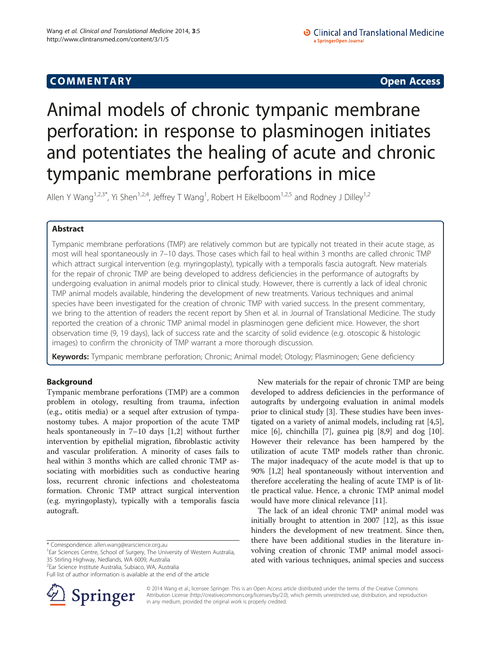## **COMMENTARY COMMENTARY Open Access**

# Animal models of chronic tympanic membrane perforation: in response to plasminogen initiates and potentiates the healing of acute and chronic tympanic membrane perforations in mice

Allen Y Wang<sup>1,2,3\*</sup>, Yi Shen<sup>1,2,4</sup>, Jeffrey T Wang<sup>1</sup>, Robert H Eikelboom<sup>1,2,5</sup> and Rodney J Dilley<sup>1,2</sup>

## Abstract

Tympanic membrane perforations (TMP) are relatively common but are typically not treated in their acute stage, as most will heal spontaneously in 7–10 days. Those cases which fail to heal within 3 months are called chronic TMP which attract surgical intervention (e.g. myringoplasty), typically with a temporalis fascia autograft. New materials for the repair of chronic TMP are being developed to address deficiencies in the performance of autografts by undergoing evaluation in animal models prior to clinical study. However, there is currently a lack of ideal chronic TMP animal models available, hindering the development of new treatments. Various techniques and animal species have been investigated for the creation of chronic TMP with varied success. In the present commentary, we bring to the attention of readers the recent report by Shen et al. in Journal of Translational Medicine. The study reported the creation of a chronic TMP animal model in plasminogen gene deficient mice. However, the short observation time (9, 19 days), lack of success rate and the scarcity of solid evidence (e.g. otoscopic & histologic images) to confirm the chronicity of TMP warrant a more thorough discussion.

Keywords: Tympanic membrane perforation; Chronic; Animal model; Otology; Plasminogen; Gene deficiency

### Background

Tympanic membrane perforations (TMP) are a common problem in otology, resulting from trauma, infection (e.g., otitis media) or a sequel after extrusion of tympanostomy tubes. A major proportion of the acute TMP heals spontaneously in 7–10 days [[1,2\]](#page-2-0) without further intervention by epithelial migration, fibroblastic activity and vascular proliferation. A minority of cases fails to heal within 3 months which are called chronic TMP associating with morbidities such as conductive hearing loss, recurrent chronic infections and cholesteatoma formation. Chronic TMP attract surgical intervention (e.g. myringoplasty), typically with a temporalis fascia autograft.

Full list of author information is available at the end of the article



New materials for the repair of chronic TMP are being developed to address deficiencies in the performance of autografts by undergoing evaluation in animal models prior to clinical study [[3\]](#page-2-0). These studies have been investigated on a variety of animal models, including rat [\[4,5](#page-2-0)], mice [\[6\]](#page-2-0), chinchilla [\[7](#page-2-0)], guinea pig [\[8,9\]](#page-2-0) and dog [\[10](#page-2-0)]. However their relevance has been hampered by the utilization of acute TMP models rather than chronic. The major inadequacy of the acute model is that up to 90% [\[1,2](#page-2-0)] heal spontaneously without intervention and therefore accelerating the healing of acute TMP is of little practical value. Hence, a chronic TMP animal model would have more clinical relevance [[11\]](#page-2-0).

The lack of an ideal chronic TMP animal model was initially brought to attention in 2007 [\[12\]](#page-2-0), as this issue hinders the development of new treatment. Since then, there have been additional studies in the literature involving creation of chronic TMP animal model associated with various techniques, animal species and success

© 2014 Wang et al.; licensee Springer. This is an Open Access article distributed under the terms of the Creative Commons Attribution License [\(http://creativecommons.org/licenses/by/2.0\)](http://creativecommons.org/licenses/by/2.0), which permits unrestricted use, distribution, and reproduction in any medium, provided the original work is properly credited.

<sup>\*</sup> Correspondence: [allen.wang@earscience.org.au](mailto:allen.wang@earscience.org.au) <sup>1</sup>

<sup>&</sup>lt;sup>1</sup>Ear Sciences Centre, School of Surgery, The University of Western Australia, 35 Stirling Highway, Nedlands, WA 6009, Australia

<sup>2</sup> Ear Science Institute Australia, Subiaco, WA, Australia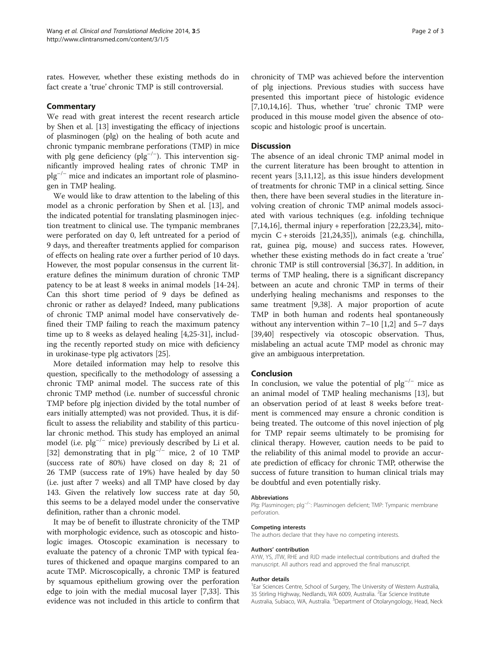rates. However, whether these existing methods do in fact create a 'true' chronic TMP is still controversial.

#### **Commentary**

We read with great interest the recent research article by Shen et al. [\[13](#page-2-0)] investigating the efficacy of injections of plasminogen (plg) on the healing of both acute and chronic tympanic membrane perforations (TMP) in mice with plg gene deficiency ( $p\vert g^{-/-}\rangle$ ). This intervention significantly improved healing rates of chronic TMP in  $p\vert g^{-/-}$  mice and indicates an important role of plasminogen in TMP healing.

We would like to draw attention to the labeling of this model as a chronic perforation by Shen et al. [\[13](#page-2-0)], and the indicated potential for translating plasminogen injection treatment to clinical use. The tympanic membranes were perforated on day 0, left untreated for a period of 9 days, and thereafter treatments applied for comparison of effects on healing rate over a further period of 10 days. However, the most popular consensus in the current literature defines the minimum duration of chronic TMP patency to be at least 8 weeks in animal models [\[14-24](#page-2-0)]. Can this short time period of 9 days be defined as chronic or rather as delayed? Indeed, many publications of chronic TMP animal model have conservatively defined their TMP failing to reach the maximum patency time up to 8 weeks as delayed healing [\[4,25](#page-2-0)-[31\]](#page-2-0), including the recently reported study on mice with deficiency in urokinase-type plg activators [[25](#page-2-0)].

More detailed information may help to resolve this question, specifically to the methodology of assessing a chronic TMP animal model. The success rate of this chronic TMP method (i.e. number of successful chronic TMP before plg injection divided by the total number of ears initially attempted) was not provided. Thus, it is difficult to assess the reliability and stability of this particular chronic method. This study has employed an animal model (i.e.  $\text{plg}^{-/-}$  mice) previously described by Li et al. [[32\]](#page-2-0) demonstrating that in  $p\vert g^{-/-}$  mice, 2 of 10 TMP (success rate of 80%) have closed on day 8; 21 of 26 TMP (success rate of 19%) have healed by day 50 (i.e. just after 7 weeks) and all TMP have closed by day 143. Given the relatively low success rate at day 50, this seems to be a delayed model under the conservative definition, rather than a chronic model.

It may be of benefit to illustrate chronicity of the TMP with morphologic evidence, such as otoscopic and histologic images. Otoscopic examination is necessary to evaluate the patency of a chronic TMP with typical features of thickened and opaque margins compared to an acute TMP. Microscopically, a chronic TMP is featured by squamous epithelium growing over the perforation edge to join with the medial mucosal layer [\[7,33](#page-2-0)]. This evidence was not included in this article to confirm that

chronicity of TMP was achieved before the intervention of plg injections. Previous studies with success have presented this important piece of histologic evidence [[7,10,14,16\]](#page-2-0). Thus, whether 'true' chronic TMP were produced in this mouse model given the absence of otoscopic and histologic proof is uncertain.

#### **Discussion**

The absence of an ideal chronic TMP animal model in the current literature has been brought to attention in recent years [\[3,11,12\]](#page-2-0), as this issue hinders development of treatments for chronic TMP in a clinical setting. Since then, there have been several studies in the literature involving creation of chronic TMP animal models associated with various techniques (e.g. infolding technique  $[7,14,16]$  $[7,14,16]$ , thermal injury + reperforation  $[22,23,34]$  $[22,23,34]$  $[22,23,34]$  $[22,23,34]$  $[22,23,34]$ , mitomycin C + steroids [\[21,24,35\]](#page-2-0)), animals (e.g. chinchilla, rat, guinea pig, mouse) and success rates. However, whether these existing methods do in fact create a 'true' chronic TMP is still controversial [\[36,37](#page-2-0)]. In addition, in terms of TMP healing, there is a significant discrepancy between an acute and chronic TMP in terms of their underlying healing mechanisms and responses to the same treatment [[9,38\]](#page-2-0). A major proportion of acute TMP in both human and rodents heal spontaneously without any intervention within  $7-10$  [[1,2\]](#page-2-0) and  $5-7$  days [[39,40\]](#page-2-0) respectively via otoscopic observation. Thus, mislabeling an actual acute TMP model as chronic may give an ambiguous interpretation.

#### Conclusion

In conclusion, we value the potential of  $p\vert q^{-/-}$  mice as an animal model of TMP healing mechanisms [\[13\]](#page-2-0), but an observation period of at least 8 weeks before treatment is commenced may ensure a chronic condition is being treated. The outcome of this novel injection of plg for TMP repair seems ultimately to be promising for clinical therapy. However, caution needs to be paid to the reliability of this animal model to provide an accurate prediction of efficacy for chronic TMP, otherwise the success of future transition to human clinical trials may be doubtful and even potentially risky.

#### Abbreviations

Plg: Plasminogen; plg<sup>-/-</sup>: Plasminogen deficient; TMP: Tympanic membrane perforation.

#### Competing interests

The authors declare that they have no competing interests.

#### Authors' contribution

AYW, YS, JTW, RHE and RJD made intellectual contributions and drafted the manuscript. All authors read and approved the final manuscript.

#### Author details

<sup>1</sup> Ear Sciences Centre, School of Surgery, The University of Western Australia 35 Stirling Highway, Nedlands, WA 6009, Australia. <sup>2</sup>Ear Science Institute Australia, Subiaco, WA, Australia. <sup>3</sup>Department of Otolaryngology, Head, Neck